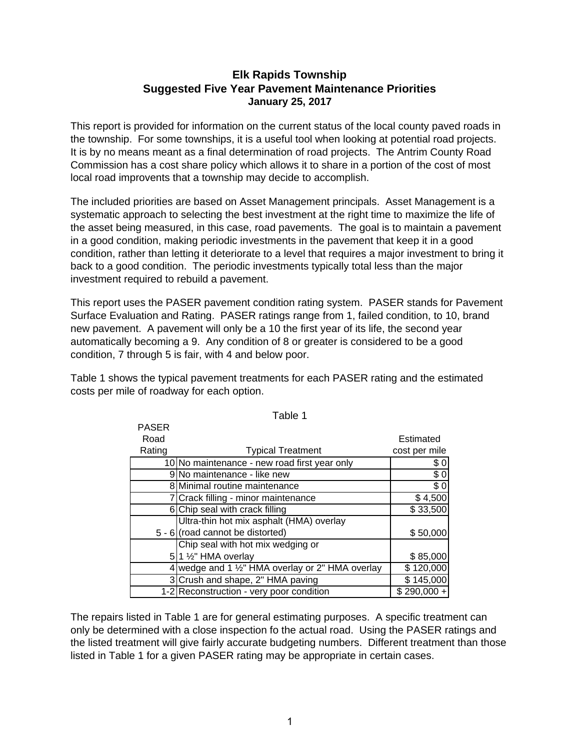# **Elk Rapids Township Suggested Five Year Pavement Maintenance Priorities January 25, 2017**

This report is provided for information on the current status of the local county paved roads in the township. For some townships, it is a useful tool when looking at potential road projects. It is by no means meant as a final determination of road projects. The Antrim County Road Commission has a cost share policy which allows it to share in a portion of the cost of most local road improvents that a township may decide to accomplish.

The included priorities are based on Asset Management principals. Asset Management is a systematic approach to selecting the best investment at the right time to maximize the life of the asset being measured, in this case, road pavements. The goal is to maintain a pavement in a good condition, making periodic investments in the pavement that keep it in a good condition, rather than letting it deteriorate to a level that requires a major investment to bring it back to a good condition. The periodic investments typically total less than the major investment required to rebuild a pavement.

This report uses the PASER pavement condition rating system. PASER stands for Pavement Surface Evaluation and Rating. PASER ratings range from 1, failed condition, to 10, brand new pavement. A pavement will only be a 10 the first year of its life, the second year automatically becoming a 9. Any condition of 8 or greater is considered to be a good condition, 7 through 5 is fair, with 4 and below poor.

Table 1 shows the typical pavement treatments for each PASER rating and the estimated costs per mile of roadway for each option.

PASER

| PASER  |                                                  |               |
|--------|--------------------------------------------------|---------------|
| Road   |                                                  | Estimated     |
| Rating | <b>Typical Treatment</b>                         | cost per mile |
|        | 10 No maintenance - new road first year only     | \$0           |
|        | 9 No maintenance - like new                      | \$0           |
|        | 8 Minimal routine maintenance                    | $\sqrt{6}$    |
|        | 7 Crack filling - minor maintenance              | \$4,500       |
|        | 6 Chip seal with crack filling                   | \$33,500      |
|        | Ultra-thin hot mix asphalt (HMA) overlay         |               |
|        | 5 - 6 (road cannot be distorted)                 | \$50,000      |
|        | Chip seal with hot mix wedging or                |               |
|        | $5$  1 $\frac{1}{2}$ " HMA overlay               | \$85,000      |
|        | 4 wedge and 1 1/2" HMA overlay or 2" HMA overlay | \$120,000     |
|        | 3 Crush and shape, 2" HMA paving                 | \$145,000     |
|        | 1-2 Reconstruction - very poor condition         | $$290,000 +$  |

Table 1

The repairs listed in Table 1 are for general estimating purposes. A specific treatment can only be determined with a close inspection fo the actual road. Using the PASER ratings and the listed treatment will give fairly accurate budgeting numbers. Different treatment than those listed in Table 1 for a given PASER rating may be appropriate in certain cases.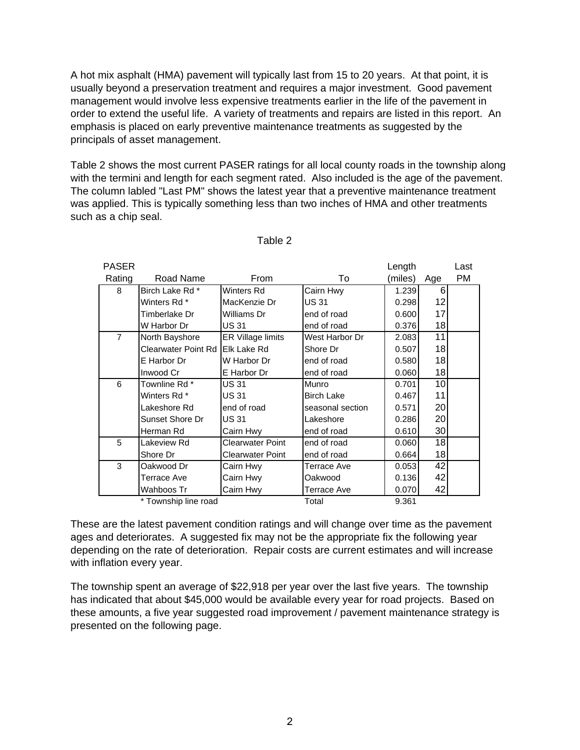A hot mix asphalt (HMA) pavement will typically last from 15 to 20 years. At that point, it is usually beyond a preservation treatment and requires a major investment. Good pavement management would involve less expensive treatments earlier in the life of the pavement in order to extend the useful life. A variety of treatments and repairs are listed in this report. An emphasis is placed on early preventive maintenance treatments as suggested by the principals of asset management.

Table 2 shows the most current PASER ratings for all local county roads in the township along with the termini and length for each segment rated. Also included is the age of the pavement. The column labled "Last PM" shows the latest year that a preventive maintenance treatment was applied. This is typically something less than two inches of HMA and other treatments such as a chip seal.

| <b>PASER</b>   |                                 |                         |                   | Length  |     | Last |
|----------------|---------------------------------|-------------------------|-------------------|---------|-----|------|
| Rating         | Road Name                       | From                    | To                | (miles) | Age | PM   |
| 8              | Birch Lake Rd *                 | Winters Rd              | Cairn Hwy         | 1.239   | 6   |      |
|                | Winters Rd *                    | MacKenzie Dr            | <b>US31</b>       | 0.298   | 12  |      |
|                | Timberlake Dr                   | Williams Dr             | end of road       | 0.600   | 17  |      |
|                | W Harbor Dr                     | <b>US31</b>             | end of road       | 0.376   | 18  |      |
| $\overline{7}$ | North Bayshore                  | ER Village limits       | West Harbor Dr    | 2.083   | 11  |      |
|                | Clearwater Point Rd Elk Lake Rd |                         | Shore Dr          | 0.507   | 18  |      |
|                | E Harbor Dr                     | W Harbor Dr             | end of road       | 0.580   | 18  |      |
|                | Inwood Cr                       | E Harbor Dr             | end of road       | 0.060   | 18  |      |
| 6              | Townline Rd *                   | <b>US31</b>             | Munro             | 0.701   | 10  |      |
|                | Winters Rd *                    | <b>US31</b>             | <b>Birch Lake</b> | 0.467   | 11  |      |
|                | Lakeshore Rd                    | end of road             | seasonal section  | 0.571   | 20  |      |
|                | Sunset Shore Dr                 | <b>US31</b>             | Lakeshore         | 0.286   | 20  |      |
|                | Herman Rd                       | Cairn Hwy               | end of road       | 0.610   | 30  |      |
| 5              | Lakeview Rd                     | <b>Clearwater Point</b> | end of road       | 0.060   | 18  |      |
|                | Shore Dr                        | <b>Clearwater Point</b> | end of road       | 0.664   | 18  |      |
| 3              | Oakwood Dr                      | Cairn Hwy               | Terrace Ave       | 0.053   | 42  |      |
|                | Terrace Ave                     | Cairn Hwy               | Oakwood           | 0.136   | 42  |      |
|                | Wahboos Tr                      | Cairn Hwy               | Terrace Ave       | 0.070   | 42  |      |
|                | * Township line road            |                         | Total             | 9.361   |     |      |

Table 2

These are the latest pavement condition ratings and will change over time as the pavement ages and deteriorates. A suggested fix may not be the appropriate fix the following year depending on the rate of deterioration. Repair costs are current estimates and will increase with inflation every year.

The township spent an average of \$22,918 per year over the last five years. The township has indicated that about \$45,000 would be available every year for road projects. Based on these amounts, a five year suggested road improvement / pavement maintenance strategy is presented on the following page.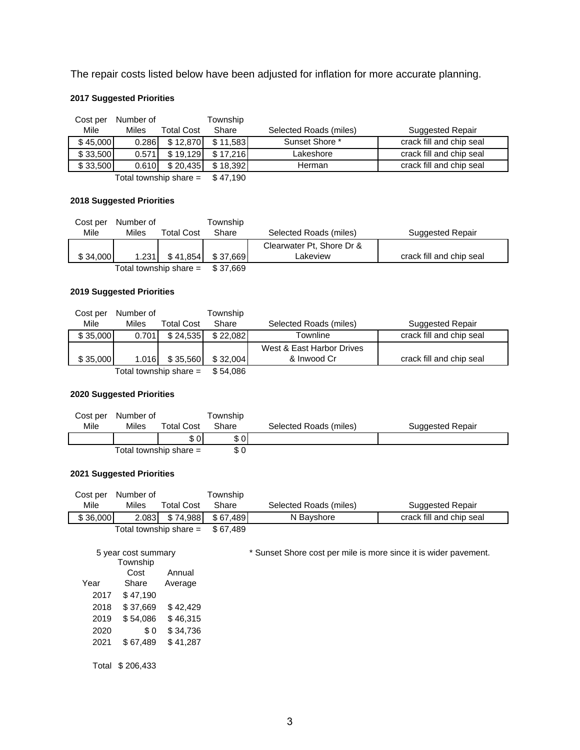The repair costs listed below have been adjusted for inflation for more accurate planning.

## **2017 Suggested Priorities**

| Cost per                 | Number of |            | Township |                        |                          |
|--------------------------|-----------|------------|----------|------------------------|--------------------------|
| Mile                     | Miles     | Total Cost | Share    | Selected Roads (miles) | <b>Suggested Repair</b>  |
| \$45,000                 | 0.286     | \$12,870   | \$11.583 | Sunset Shore *         | crack fill and chip seal |
| \$33,500                 | 0.571     | \$19.129   | \$17.216 | Lakeshore              | crack fill and chip seal |
| \$33,500                 | 0.610     | \$20.435   | \$18.392 | Herman                 | crack fill and chip seal |
| Total township share $=$ |           |            | \$47.190 |                        |                          |

#### **2018 Suggested Priorities**

| Cost per | Number of |                          | Township |                           |                          |
|----------|-----------|--------------------------|----------|---------------------------|--------------------------|
| Mile     | Miles     | <b>Total Cost</b>        | Share    | Selected Roads (miles)    | Suggested Repair         |
|          |           |                          |          | Clearwater Pt, Shore Dr & |                          |
| \$34,000 | 1.231     | \$41,854                 | \$37.669 | Lakeview                  | crack fill and chip seal |
|          |           | Total township share $=$ | \$37.669 |                           |                          |

#### **2019 Suggested Priorities**

| Cost per                 | Number of |            | Township |                           |                          |
|--------------------------|-----------|------------|----------|---------------------------|--------------------------|
| Mile                     | Miles     | Total Cost | Share    | Selected Roads (miles)    | <b>Suggested Repair</b>  |
| \$35,000                 | 0.701     | \$24.535   | \$22.082 | Townline                  | crack fill and chip seal |
|                          |           |            |          | West & East Harbor Drives |                          |
| \$35,000                 | 1.016     | \$35.560   | \$32.004 | & Inwood Cr               | crack fill and chip seal |
| Total township share $=$ |           |            | \$54.086 |                           |                          |

**2020 Suggested Priorities**

|      | Cost per Number of |                          | Township |                        |                         |
|------|--------------------|--------------------------|----------|------------------------|-------------------------|
| Mile | Miles              | <b>Total Cost</b>        | Share    | Selected Roads (miles) | <b>Suggested Repair</b> |
|      |                    | \$ OI                    | \$0      |                        |                         |
|      |                    | Total township share $=$ | \$0      |                        |                         |

## **2021 Suggested Priorities**

| Cost per | Number of |                          | Fownship  |                        |                          |
|----------|-----------|--------------------------|-----------|------------------------|--------------------------|
| Mile     | Miles     | <b>Total Cost</b>        | Share     | Selected Roads (miles) | <b>Suggested Repair</b>  |
| \$36,000 |           | 2.083 \$74.988           | \$ 67.489 | N Bayshore             | crack fill and chip seal |
|          |           | Total township share $=$ | \$67.489  |                        |                          |

Year Township Cost Share Average Annual 2017 \$ 47,190 2018 \$ 37,669 \$ 42,429 2019 \$ 54,086 \$ 46,315 2020 \$ 0 \$ 34,736 2021 \$ 67,489 \$ 41,287 5 year cost summary

\* Sunset Shore cost per mile is more since it is wider pavement.

Total \$ 206,433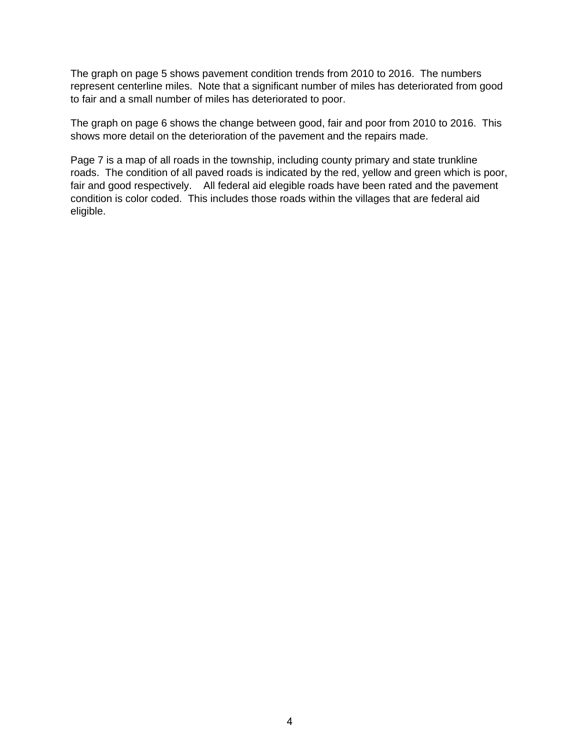The graph on page 5 shows pavement condition trends from 2010 to 2016. The numbers represent centerline miles. Note that a significant number of miles has deteriorated from good to fair and a small number of miles has deteriorated to poor.

The graph on page 6 shows the change between good, fair and poor from 2010 to 2016. This shows more detail on the deterioration of the pavement and the repairs made.

Page 7 is a map of all roads in the township, including county primary and state trunkline roads. The condition of all paved roads is indicated by the red, yellow and green which is poor, fair and good respectively. All federal aid elegible roads have been rated and the pavement condition is color coded. This includes those roads within the villages that are federal aid eligible.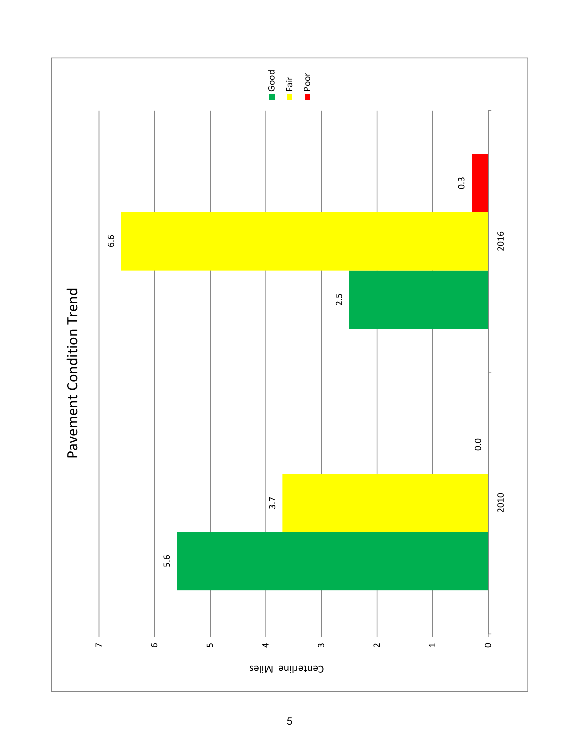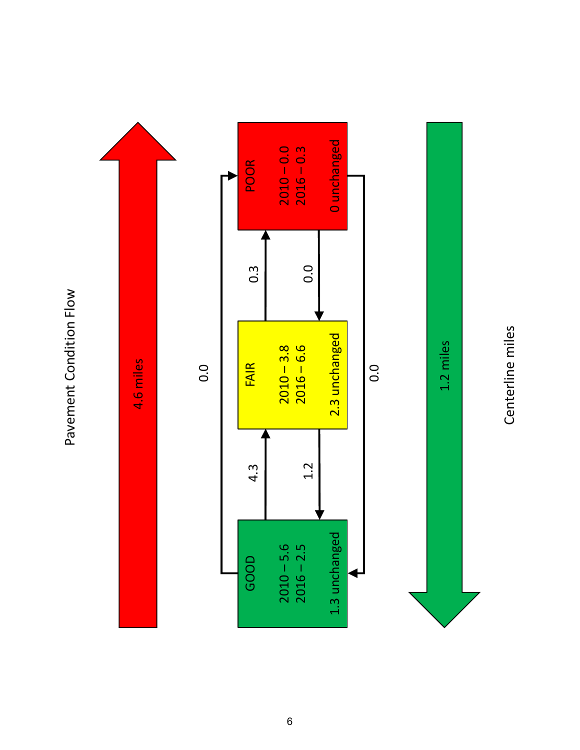Pavement Condition Flow Pavement Condition Flow



Centerline miles Centerline miles